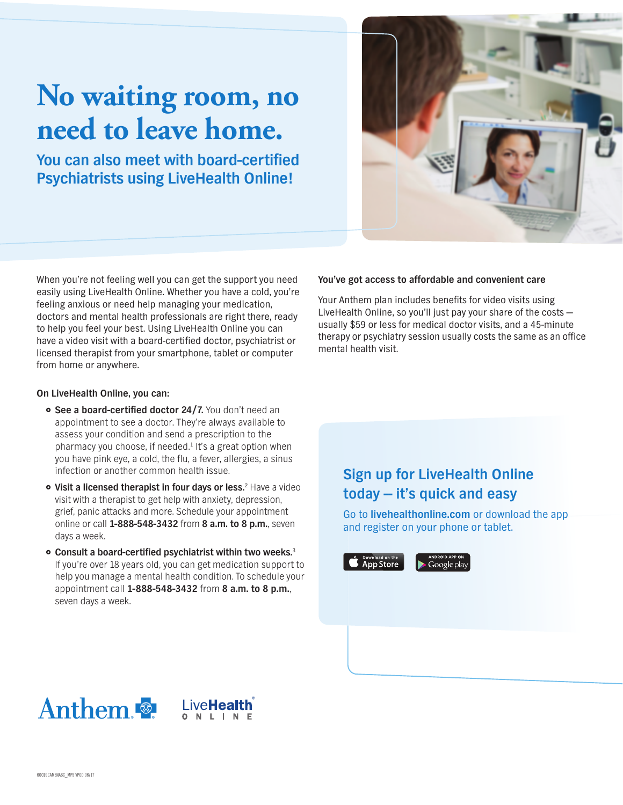## **No waiting room, no** need to leave home.

**You can also meet with board-certified Psychiatrists using LiveHealth Online!** 



When you're not feeling well you can get the support you need easily using LiveHealth Online. Whether you have a cold, you're feeling anxious or need help managing your medication, doctors and mental health professionals are right there, ready to help you feel your best. Using LiveHealth Online you can have a video visit with a board-certified doctor, psychiatrist or licensed therapist from your smartphone, tablet or computer from home or anywhere.

## **On LiveHealth Online, you can:**

- **See a board-certified doctor 24/7.** You don't need an appointment to see a doctor. They're always available to assess your condition and send a prescription to the pharmacy you choose, if needed.<sup>1</sup> It's a great option when you have pink eye, a cold, the flu, a fever, allergies, a sinus infection or another common health issue.
- **Visit a licensed therapist in four days or less.**<sup>2</sup> Have a video visit with a therapist to get help with anxiety, depression, grief, panic attacks and more. Schedule your appointment online or call **1-888-548-3432** from **8 a.m. to 8 p.m.**, seven days a week.
- **Consult a board-certified psychiatrist within two weeks.**<sup>3</sup> If you're over 18 years old, you can get medication support to help you manage a mental health condition. To schedule your appointment call **1-888-548-3432** from **8 a.m. to 8 p.m.**, seven days a week.

## **You've got access to affordable and convenient care**

Your Anthem plan includes benefits for video visits using LiveHealth Online, so you'll just pay your share of the costs usually \$59 or less for medical doctor visits, and a 45-minute therapy or psychiatry session usually costs the same as an office mental health visit.

## **Sign up for LiveHealth Online today -- it's quick and easy**

Go to **livehealthonline.com** or download the app and register on your phone or tablet.



Google pla